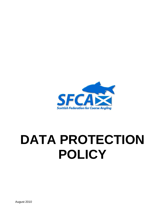

# **DATA PROTECTION POLICY**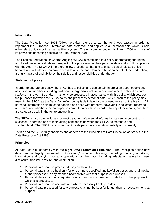## **Introduction**

The Data Protection Act 1998 (DPA, hereafter referred to as 'the Act') was passed in order to implement the European Directive on data protection and applies to all personal data which is held either electronically or in a manual filing system. The Act commenced on 1st March 2000 with most of its provisions becoming effective on 24th October 2001.

The Scottish Federation for Coarse Angling (SFCA) is committed to a policy of protecting the rights and freedoms of individuals with respect to the processing of their personal data and to full compliance with the Act. The SFCA will therefore follow procedures that aim to ensure that all elected office bearers and volunteers who have access to any personal data held by or on behalf of the Federation, are fully aware of and abide by their duties and responsibilities under the Act.

#### **Statement of policy**

In order to operate efficiently, the SFCA has to collect and use certain information about people such as individual members, sporting participants, organisational volunteers and others, defined as *data subjects* in the Act. Such data must only be processed in accordance with this policy which sets out the purposes for which the SFCA holds and processes personal data. Any breach of the policy may result in the SFCA, as the *Data Controller*, being liable in law for the consequences of the breach. All personal information held must be handled and dealt with properly, however it is collected, recorded and used, and whether it be on paper, in computer records or recorded by any other means, and there are safeguards within the Act to ensure this.

The SFCA regards the lawful and correct treatment of personal information as very important to its successful operation and to maintaining confidence between the SFCA, its members and sportscotland. The SFCA will ensure that it treats personal information lawfully and correctly.

To this end the SFCA fully endorses and adheres to the Principles of Data Protection as set out in the Data Protection Act 1998.

## **Principles**

All data users must comply with the **eight Data Protection Principles**. The Principles define how data can be legally processed. 'Processing' includes obtaining, recording, holding or storing information and carrying out any operations on the data, including adaptation, alteration, use, disclosure, transfer, erasure, and destruction.

- 1. Personal data shall be processed fairly and lawfully.
- 2. Personal data shall be held only for one or more specified and lawful purposes and shall not be further processed in any manner incompatible with that purpose or purposes.
- 3. Personal data shall be adequate, relevant and not excessive in relation to the purpose for which it is processed.
- 4. Personal data shall be accurate and where necessary kept up to date.
- 5. Personal data processed for any purpose shall not be kept for longer than is necessary for that purpose.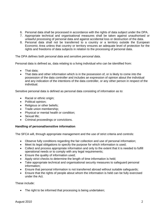- 6. Personal data shall be processed in accordance with the rights of data subject under the DPA.
- 7. Appropriate technical and organisational measures shall be taken against unauthorised or unlawful processing of personal data and against accidental loss or destruction of the data.
- 8. Personal data shall not be transferred to a country or a territory outside the European Economic Area unless that country or territory ensures an adequate level of protection for the rights and freedoms of data subjects in relation to the processing of personal data.

The DPA defines both *personal data* and *sensitive personal data*.

Personal data is defined as, data relating to a living individual who can be identified from:

- That data:
- That data and other information which is in the possession of, or is likely to come into the possession of the data controller and includes an expression of opinion about the individual and any indication of the intentions of the data controller, or any other person in respect of the individual.

Sensitive personal data is defined as personal data consisting of information as to:

- Racial or ethnic origin;
- Political opinion;
- Religious or other beliefs;
- Trade union membership;
- Physical or mental health or condition;
- Sexual life;
- Criminal proceedings or convictions.

## **Handling of personal/sensitive information**

The SFCA will, through appropriate management and the use of strict criteria and controls:

- Observe fully conditions regarding the fair collection and use of personal information;
- Meet its legal obligations to specify the purpose for which information is used;
- Collect and process appropriate information and only to the extent that it is needed to fulfill operational needs or to comply with any legal requirements;
- Ensure the quality of information used;
- Apply strict checks to determine the length of time information is held;
- Take appropriate technical and organisational security measures to safeguard personal information;
- Ensure that personal information is not transferred abroad without suitable safeguards;
- Ensure that the rights of people about whom the information is held can be fully exercised under the Act.

These include:

• The right to be informed that processing is being undertaken;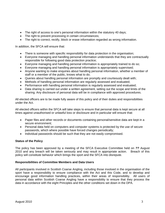- The right of access to one's personal information within the statutory 40 days;
- The right to prevent processing in certain circumstances;
- The right to correct, rectify, block or erase information regarded as wrong information.

In addition, the SFCA will ensure that:

- There is someone with specific responsibility for data protection in the organisation;
- Everyone managing and handling personal information understands that they are contractually responsible for following good data protection practice;
- Everyone managing and handling personal information is appropriately trained to do so;
- Everyone managing and handling personal information is appropriately supervised;
- Anyone wanting to make enquiries about handling personal information, whether a member of staff or a member of the public, knows what to do;
- Queries about handling personal information are promptly and courteously dealt with;
- Methods of handling personal information are regularly assessed and evaluated;
- Performance with handling personal information is regularly assessed and evaluated;
- Data sharing is carried out under a written agreement, setting out the scope and limits of the sharing. Any disclosure of personal data will be in compliance with approved procedures.

All elected officers are to be made fully aware of this policy and of their duties and responsibilities under the Act.

All elected officers within the SFCA will take steps to ensure that personal data is kept secure at all times against unauthorised or unlawful loss or disclosure and in particular will ensure that:

- Paper files and other records or documents containing personal/sensitive data are kept in a secure environment;
- Personal data held on computers and computer systems is protected by the use of secure passwords, which where possible have forced changes periodically;
- Individual passwords should be such that they are not easily compromised.

# **Status of the Policy**

The policy has been approved by a meeting of the SFCA Executive Committee held on *??* August 2010 and any breach will be taken seriously and may result in appropriate action. Breach of this policy will constitute behavior which brings the sport and the SFCA into disrepute.

## **Responsibilities of Committee Members and Data Users**

All participants involved in Scottish Coarse Angling, including those involved in the organisation of the sport have a responsibility to ensure compliance with the Act and this Code, and to develop and encourage good information handling practices, within their areas of responsibility. All users of personal data within Scottish Coarse Angling have a responsibility to ensure that they process the data in accordance with the eight Principles and the other conditions set down in the DPA.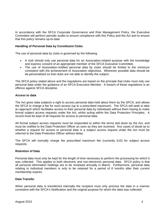In accordance with the SFCA Corporate Governance and Risk Management Policy, the Executive Committee will perform periodic audits to ensure compliance with this Policy and the Act and to ensure that this policy remains up-to-date.

#### **Handling of Personal Data by Constituent Clubs**

The use of personal data by clubs is governed by the following

- A club should only use personal data for an Association-related purpose with the knowledge and express consent of an appropriate member of the SFCA Executive Committee.
- The use of Association-notified personal data by clubs should be limited to the minimum consistent with the achievement of Association objectives. Wherever possible data should be de-personalised so that clubs are not able to identify the subject.

The SFCA policy stated above and the regulations are based on the principle that clubs must only use personal data under the guidance of an SFCA Executive Member. A breach of these regulations is an offence against SFCA discipline.

#### **Access to data**

The Act gives data subjects a right to access personal data held about them by the SFCA, and allows the SFCA to charge a fee for such access (up to a prescribed maximum). The SFCA will seek to take an approach which facilitates access to their personal data by individuals without them having to make formal subject access requests under the Act, whilst acting within the Data Protection Principles. A record must be kept of all requests for access to personal data.

All formal subject access requests must be responded to within the terms laid down by the Act, and must be notified to the Data Protection Officer as soon as they are received. Any cases of doubt as to whether a request for access to personal data is a subject access request under the Act must be referred to the Data Protection Officer without delay.

The SFCA will normally charge the prescribed maximum fee (currently £10) for subject access requests.

#### **Retention of Data**

Personal data must only be kept for the length of time necessary to perform the processing for which it was collected. This applies to both electronic and non-electronic personal data. SFCA policy is that all personal information holdings are to be reviewed annually in March. Furthermore, personal data relating to individual members is only to be retained for a period of 6 months after their current membership expires.

#### **Data Transfer**

When personal data is transferred internally the recipient must only process the data in a manner consistent with the SFCA's Notification and the original purpose for which the data was collected.